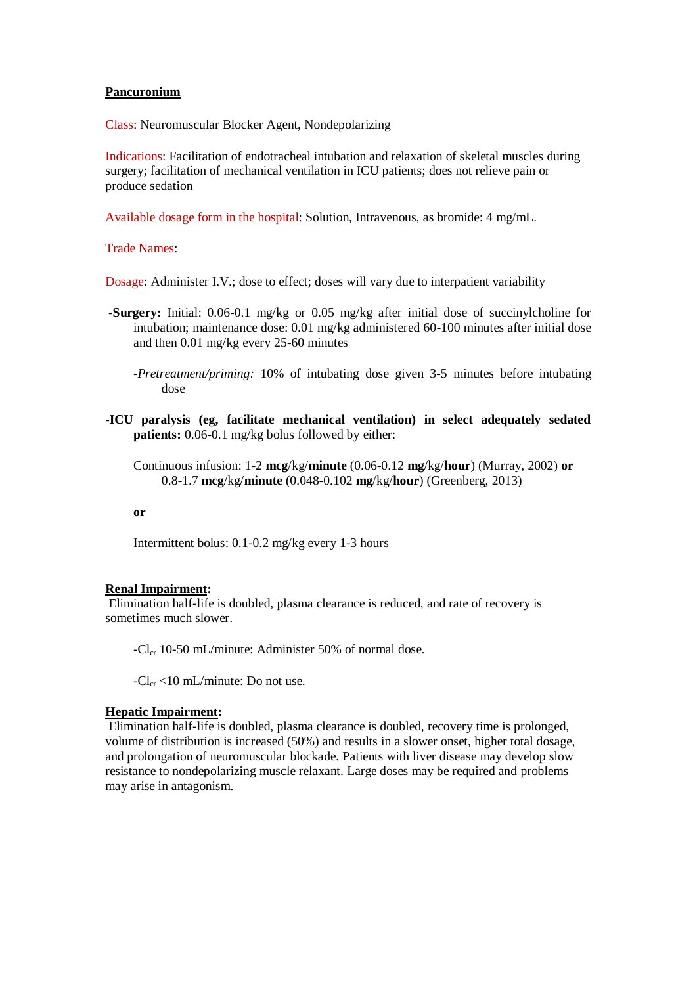## **Pancuronium**

Class: Neuromuscular Blocker Agent, Nondepolarizing

Indications: Facilitation of endotracheal intubation and relaxation of skeletal muscles during surgery; facilitation of mechanical ventilation in ICU patients; does not relieve pain or produce sedation

Available dosage form in the hospital: Solution, Intravenous, as bromide: 4 mg/mL.

Trade Names:

Dosage: Administer I.V.; dose to effect; doses will vary due to interpatient variability

- **-Surgery:** Initial: 0.06-0.1 mg/kg or 0.05 mg/kg after initial dose of succinylcholine for intubation; maintenance dose: 0.01 mg/kg administered 60-100 minutes after initial dose and then 0.01 mg/kg every 25-60 minutes
	- *-Pretreatment/priming:* 10% of intubating dose given 3-5 minutes before intubating dose
- **-ICU paralysis (eg, facilitate mechanical ventilation) in select adequately sedated patients:** 0.06-0.1 mg/kg bolus followed by either:

Continuous infusion: 1-2 **mcg**/kg/**minute** (0.06-0.12 **mg**/kg/**hour**) (Murray, 2002) **or** 0.8-1.7 **mcg**/kg/**minute** (0.048-0.102 **mg**/kg/**hour**) (Greenberg, 2013)

## **or**

Intermittent bolus: 0.1-0.2 mg/kg every 1-3 hours

## **Renal Impairment:**

Elimination half-life is doubled, plasma clearance is reduced, and rate of recovery is sometimes much slower.

 $-Cl_{cr}$  10-50 mL/minute: Administer 50% of normal dose.

 $-Cl_{cr}$  <10 mL/minute: Do not use.

## **Hepatic Impairment:**

Elimination half-life is doubled, plasma clearance is doubled, recovery time is prolonged, volume of distribution is increased (50%) and results in a slower onset, higher total dosage, and prolongation of neuromuscular blockade. Patients with liver disease may develop slow resistance to nondepolarizing muscle relaxant. Large doses may be required and problems may arise in antagonism.